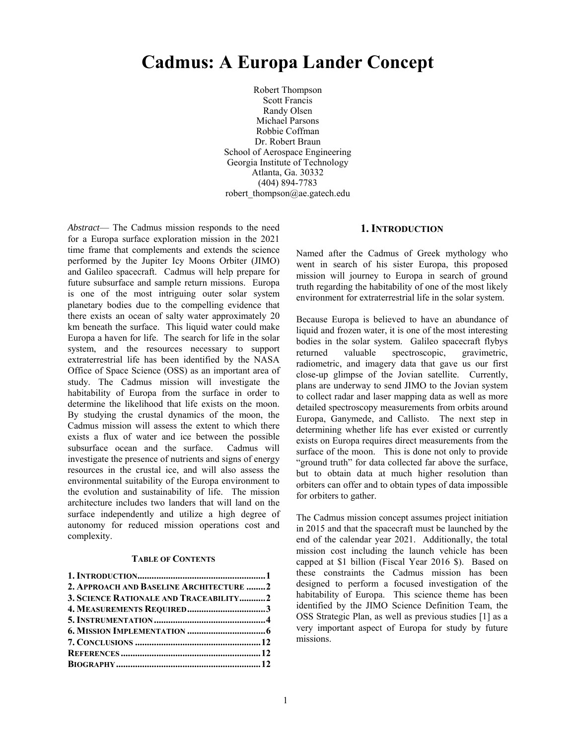# <span id="page-0-0"></span>**Cadmus: A Europa Lander Concept**

Robert Thompson Scott Francis Randy Olsen Michael Parsons Robbie Coffman Dr. Robert Braun School of Aerospace Engineering Georgia Institute of Technology Atlanta, Ga. 30332 (404) 894-7783 robert\_thompson@ae.gatech.edu

*Abstract*— The Cadmus mission responds to the need for a Europa surface exploration mission in the 2021 time frame that complements and extends the science performed by the Jupiter Icy Moons Orbiter (JIMO) and Galileo spacecraft. Cadmus will help prepare for future subsurface and sample return missions. Europa is one of the most intriguing outer solar system planetary bodies due to the compelling evidence that there exists an ocean of salty water approximately 20 km beneath the surface. This liquid water could make Europa a haven for life. The search for life in the solar system, and the resources necessary to support extraterrestrial life has been identified by the NASA Office of Space Science (OSS) as an important area of study. The Cadmus mission will investigate the habitability of Europa from the surface in order to determine the likelihood that life exists on the moon. By studying the crustal dynamics of the moon, the Cadmus mission will assess the extent to which there exists a flux of water and ice between the possible subsurface ocean and the surface. Cadmus will investigate the presence of nutrients and signs of energy resources in the crustal ice, and will also assess the environmental suitability of the Europa environment to the evolution and sustainability of life. The mission architecture includes two landers that will land on the surface independently and utilize a high degree of autonomy for reduced mission operations cost and complexity.

# **TABLE OF CONTENTS**

| 2. APPROACH AND BASELINE ARCHITECTURE 2 |  |
|-----------------------------------------|--|
| 3. SCIENCE RATIONALE AND TRACEABILITY2  |  |
|                                         |  |
|                                         |  |
|                                         |  |
|                                         |  |
|                                         |  |
|                                         |  |

#### **1. INTRODUCTION**

Named after the Cadmus of Greek mythology who went in search of his sister Europa, this proposed mission will journey to Europa in search of ground truth regarding the habitability of one of the most likely environment for extraterrestrial life in the solar system.

Because Europa is believed to have an abundance of liquid and frozen water, it is one of the most interesting bodies in the solar system. Galileo spacecraft flybys returned valuable spectroscopic, gravimetric, radiometric, and imagery data that gave us our first close-up glimpse of the Jovian satellite. Currently, plans are underway to send JIMO to the Jovian system to collect radar and laser mapping data as well as more detailed spectroscopy measurements from orbits around Europa, Ganymede, and Callisto. The next step in determining whether life has ever existed or currently exists on Europa requires direct measurements from the surface of the moon. This is done not only to provide "ground truth" for data collected far above the surface, but to obtain data at much higher resolution than orbiters can offer and to obtain types of data impossible for orbiters to gather.

The Cadmus mission concept assumes project initiation in 2015 and that the spacecraft must be launched by the end of the calendar year 2021. Additionally, the total mission cost including the launch vehicle has been capped at \$1 billion (Fiscal Year 2016 \$). Based on these constraints the Cadmus mission has been designed to perform a focused investigation of the habitability of Europa. This science theme has been identified by the JIMO Science Definition Team, the OSS Strategic Plan, as well as previous studies [1] as a very important aspect of Europa for study by future missions.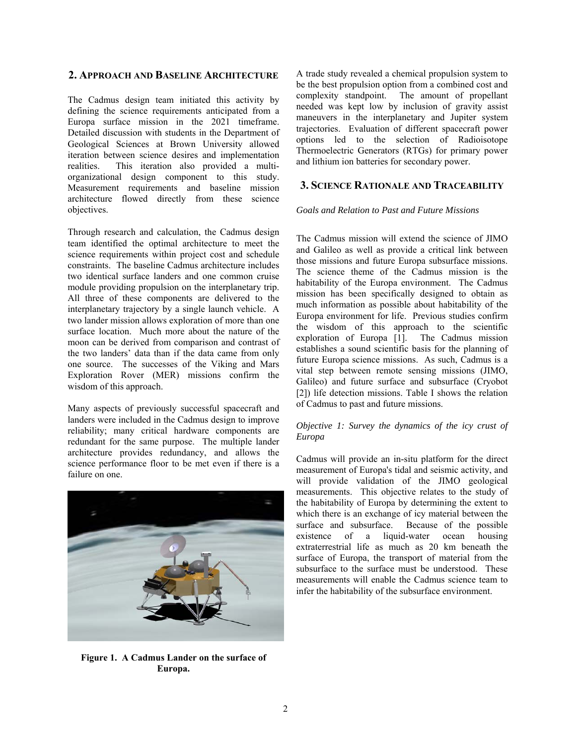# <span id="page-1-0"></span>**2. APPROACH AND BASELINE ARCHITECTURE**

The Cadmus design team initiated this activity by defining the science requirements anticipated from a Europa surface mission in the 2021 timeframe. Detailed discussion with students in the Department of Geological Sciences at Brown University allowed iteration between science desires and implementation realities. This iteration also provided a multiorganizational design component to this study. Measurement requirements and baseline mission architecture flowed directly from these science objectives.

Through research and calculation, the Cadmus design team identified the optimal architecture to meet the science requirements within project cost and schedule constraints. The baseline Cadmus architecture includes two identical surface landers and one common cruise module providing propulsion on the interplanetary trip. All three of these components are delivered to the interplanetary trajectory by a single launch vehicle. A two lander mission allows exploration of more than one surface location. Much more about the nature of the moon can be derived from comparison and contrast of the two landers' data than if the data came from only one source. The successes of the Viking and Mars Exploration Rover (MER) missions confirm the wisdom of this approach.

Many aspects of previously successful spacecraft and landers were included in the Cadmus design to improve reliability; many critical hardware components are redundant for the same purpose. The multiple lander architecture provides redundancy, and allows the science performance floor to be met even if there is a failure on one.



**Figure 1. A Cadmus Lander on the surface of Europa.** 

A trade study revealed a chemical propulsion system to be the best propulsion option from a combined cost and complexity standpoint. The amount of propellant needed was kept low by inclusion of gravity assist maneuvers in the interplanetary and Jupiter system trajectories. Evaluation of different spacecraft power options led to the selection of Radioisotope Thermoelectric Generators (RTGs) for primary power and lithium ion batteries for secondary power.

# **3. SCIENCE RATIONALE AND TRACEABILITY**

## *Goals and Relation to Past and Future Missions*

The Cadmus mission will extend the science of JIMO and Galileo as well as provide a critical link between those missions and future Europa subsurface missions. The science theme of the Cadmus mission is the habitability of the Europa environment. The Cadmus mission has been specifically designed to obtain as much information as possible about habitability of the Europa environment for life. Previous studies confirm the wisdom of this approach to the scientific exploration of Europa [1]. The Cadmus mission establishes a sound scientific basis for the planning of future Europa science missions. As such, Cadmus is a vital step between remote sensing missions (JIMO, Galileo) and future surface and subsurface (Cryobot [2]) life detection missions. Table I shows the relation of Cadmus to past and future missions.

# *Objective 1: Survey the dynamics of the icy crust of Europa*

Cadmus will provide an in-situ platform for the direct measurement of Europa's tidal and seismic activity, and will provide validation of the JIMO geological measurements. This objective relates to the study of the habitability of Europa by determining the extent to which there is an exchange of icy material between the surface and subsurface. Because of the possible existence of a liquid-water ocean housing extraterrestrial life as much as 20 km beneath the surface of Europa, the transport of material from the subsurface to the surface must be understood. These measurements will enable the Cadmus science team to infer the habitability of the subsurface environment.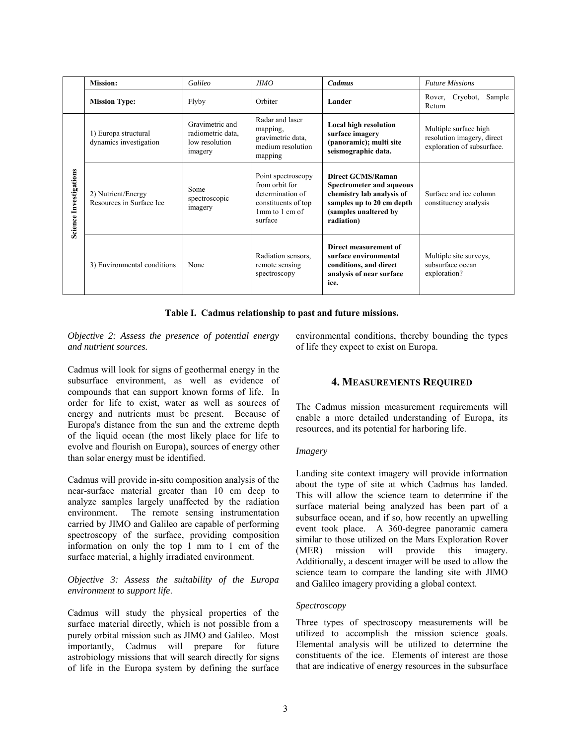<span id="page-2-0"></span>

|                               | <b>Mission:</b>                                | Galileo                                                           | <b>JIMO</b>                                                                                                     | Cadmus                                                                                                                                                       | <b>Future Missions</b>                                                            |
|-------------------------------|------------------------------------------------|-------------------------------------------------------------------|-----------------------------------------------------------------------------------------------------------------|--------------------------------------------------------------------------------------------------------------------------------------------------------------|-----------------------------------------------------------------------------------|
|                               | <b>Mission Type:</b>                           | Flyby                                                             | Orbiter                                                                                                         | Lander                                                                                                                                                       | Rover, Cryobot,<br>Sample<br>Return                                               |
| <b>Science Investigations</b> | 1) Europa structural<br>dynamics investigation | Gravimetric and<br>radiometric data,<br>low resolution<br>imagery | Radar and laser<br>mapping,<br>gravimetric data,<br>medium resolution<br>mapping                                | <b>Local high resolution</b><br>surface imagery<br>(panoramic); multi site<br>seismographic data.                                                            | Multiple surface high<br>resolution imagery, direct<br>exploration of subsurface. |
|                               | 2) Nutrient/Energy<br>Resources in Surface Ice | Some<br>spectroscopic<br>imagery                                  | Point spectroscopy<br>from orbit for<br>determination of<br>constituents of top<br>$1mm$ to $1cm$ of<br>surface | <b>Direct GCMS/Raman</b><br><b>Spectrometer and aqueous</b><br>chemistry lab analysis of<br>samples up to 20 cm depth<br>(samples unaltered by<br>radiation) | Surface and ice column<br>constituency analysis                                   |
|                               | 3) Environmental conditions                    | None                                                              | Radiation sensors,<br>remote sensing<br>spectroscopy                                                            | Direct measurement of<br>surface environmental<br>conditions, and direct<br>analysis of near surface<br>ice.                                                 | Multiple site surveys,<br>subsurface ocean<br>exploration?                        |

**Table I. Cadmus relationship to past and future missions.**

*Objective 2: Assess the presence of potential energy and nutrient sources.* 

Cadmus will look for signs of geothermal energy in the subsurface environment, as well as evidence of compounds that can support known forms of life. In order for life to exist, water as well as sources of energy and nutrients must be present. Because of Europa's distance from the sun and the extreme depth of the liquid ocean (the most likely place for life to evolve and flourish on Europa), sources of energy other than solar energy must be identified.

Cadmus will provide in-situ composition analysis of the near-surface material greater than 10 cm deep to analyze samples largely unaffected by the radiation environment. The remote sensing instrumentation carried by JIMO and Galileo are capable of performing spectroscopy of the surface, providing composition information on only the top 1 mm to 1 cm of the surface material, a highly irradiated environment.

# *Objective 3: Assess the suitability of the Europa environment to support life*.

Cadmus will study the physical properties of the surface material directly, which is not possible from a purely orbital mission such as JIMO and Galileo. Most importantly, Cadmus will prepare for future astrobiology missions that will search directly for signs of life in the Europa system by defining the surface environmental conditions, thereby bounding the types of life they expect to exist on Europa.

# **4. MEASUREMENTS REQUIRED**

The Cadmus mission measurement requirements will enable a more detailed understanding of Europa, its resources, and its potential for harboring life.

# *Imagery*

Landing site context imagery will provide information about the type of site at which Cadmus has landed. This will allow the science team to determine if the surface material being analyzed has been part of a subsurface ocean, and if so, how recently an upwelling event took place. A 360-degree panoramic camera similar to those utilized on the Mars Exploration Rover (MER) mission will provide this imagery. Additionally, a descent imager will be used to allow the science team to compare the landing site with JIMO and Galileo imagery providing a global context.

# *Spectroscopy*

Three types of spectroscopy measurements will be utilized to accomplish the mission science goals. Elemental analysis will be utilized to determine the constituents of the ice. Elements of interest are those that are indicative of energy resources in the subsurface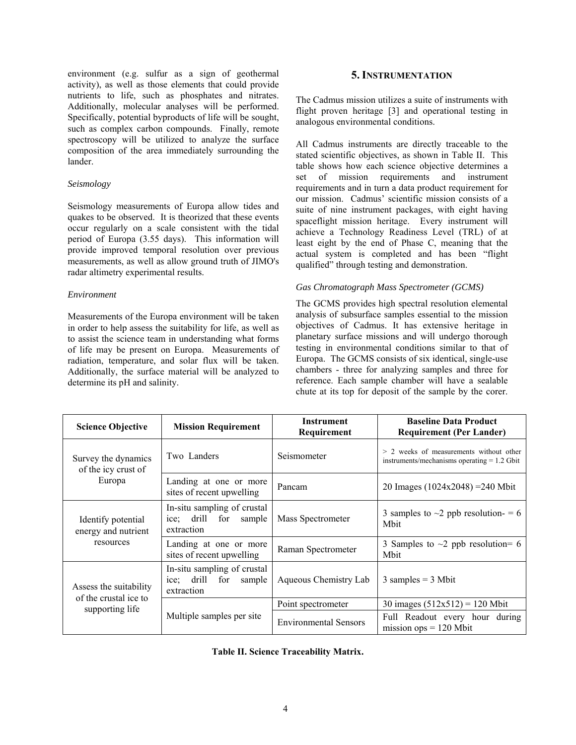<span id="page-3-0"></span>environment (e.g. sulfur as a sign of geothermal activity), as well as those elements that could provide nutrients to life, such as phosphates and nitrates. Additionally, molecular analyses will be performed. Specifically, potential byproducts of life will be sought, such as complex carbon compounds. Finally, remote spectroscopy will be utilized to analyze the surface composition of the area immediately surrounding the lander.

## *Seismology*

Seismology measurements of Europa allow tides and quakes to be observed. It is theorized that these events occur regularly on a scale consistent with the tidal period of Europa (3.55 days). This information will provide improved temporal resolution over previous measurements, as well as allow ground truth of JIMO's radar altimetry experimental results.

#### *Environment*

Measurements of the Europa environment will be taken in order to help assess the suitability for life, as well as to assist the science team in understanding what forms of life may be present on Europa. Measurements of radiation, temperature, and solar flux will be taken. Additionally, the surface material will be analyzed to determine its pH and salinity.

# **5. INSTRUMENTATION**

The Cadmus mission utilizes a suite of instruments with flight proven heritage [3] and operational testing in analogous environmental conditions.

All Cadmus instruments are directly traceable to the stated scientific objectives, as shown in Table II. This table shows how each science objective determines a set of mission requirements and instrument requirements and in turn a data product requirement for our mission. Cadmus' scientific mission consists of a suite of nine instrument packages, with eight having spaceflight mission heritage. Every instrument will achieve a Technology Readiness Level (TRL) of at least eight by the end of Phase C, meaning that the actual system is completed and has been "flight qualified" through testing and demonstration.

## *Gas Chromatograph Mass Spectrometer (GCMS)*

The GCMS provides high spectral resolution elemental analysis of subsurface samples essential to the mission objectives of Cadmus. It has extensive heritage in planetary surface missions and will undergo thorough testing in environmental conditions similar to that of Europa. The GCMS consists of six identical, single-use chambers - three for analyzing samples and three for reference. Each sample chamber will have a sealable chute at its top for deposit of the sample by the corer.

| <b>Science Objective</b>                               | <b>Mission Requirement</b>                                            | Instrument<br>Requirement    | <b>Baseline Data Product</b><br><b>Requirement (Per Lander)</b>                            |
|--------------------------------------------------------|-----------------------------------------------------------------------|------------------------------|--------------------------------------------------------------------------------------------|
| Survey the dynamics<br>of the icy crust of             | Two Landers                                                           | Seismometer                  | $> 2$ weeks of measurements without other<br>instruments/mechanisms operating $= 1.2$ Gbit |
| Europa                                                 | Landing at one or more<br>sites of recent upwelling                   | Pancam                       | 20 Images $(1024x2048) = 240$ Mbit                                                         |
| Identify potential<br>energy and nutrient<br>resources | In-situ sampling of crustal<br>ice; drill for sample<br>extraction    | Mass Spectrometer            | 3 samples to $\sim$ 2 ppb resolution- = 6<br><b>Mbit</b>                                   |
|                                                        | Landing at one or more<br>sites of recent upwelling                   | Raman Spectrometer           | 3 Samples to $\sim$ 2 ppb resolution= 6<br>Mbit                                            |
| Assess the suitability                                 | In-situ sampling of crustal<br>ice; drill for<br>sample<br>extraction | Aqueous Chemistry Lab        | $3$ samples = $3$ Mbit                                                                     |
| of the crustal ice to<br>supporting life               |                                                                       | Point spectrometer           | 30 images $(512x512) = 120$ Mbit                                                           |
|                                                        | Multiple samples per site                                             | <b>Environmental Sensors</b> | Full Readout every hour during<br>mission ops $= 120$ Mbit                                 |

| <b>Table II. Science Traceability Matrix.</b> |  |  |  |  |
|-----------------------------------------------|--|--|--|--|
|-----------------------------------------------|--|--|--|--|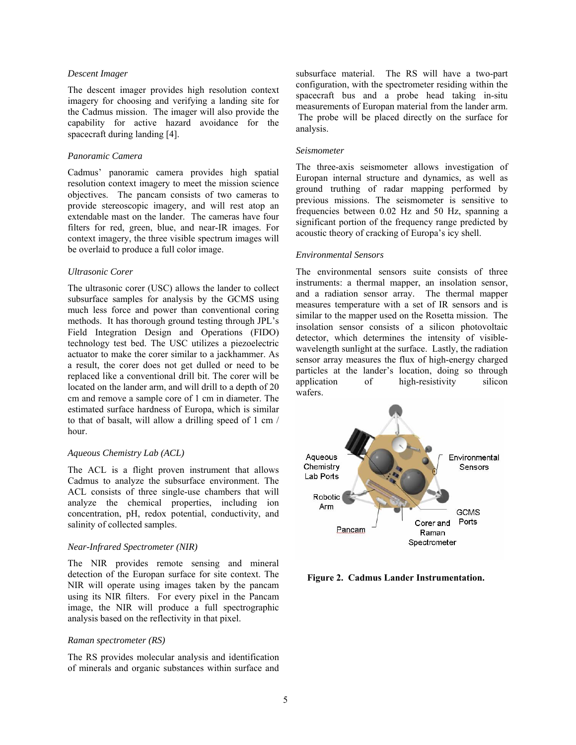#### *Descent Imager*

The descent imager provides high resolution context imagery for choosing and verifying a landing site for the Cadmus mission. The imager will also provide the capability for active hazard avoidance for the spacecraft during landing [4].

# *Panoramic Camera*

Cadmus' panoramic camera provides high spatial resolution context imagery to meet the mission science objectives. The pancam consists of two cameras to provide stereoscopic imagery, and will rest atop an extendable mast on the lander. The cameras have four filters for red, green, blue, and near-IR images. For context imagery, the three visible spectrum images will be overlaid to produce a full color image.

# *Ultrasonic Corer*

The ultrasonic corer (USC) allows the lander to collect subsurface samples for analysis by the GCMS using much less force and power than conventional coring methods. It has thorough ground testing through JPL's Field Integration Design and Operations (FIDO) technology test bed. The USC utilizes a piezoelectric actuator to make the corer similar to a jackhammer. As a result, the corer does not get dulled or need to be replaced like a conventional drill bit. The corer will be located on the lander arm, and will drill to a depth of 20 cm and remove a sample core of 1 cm in diameter. The estimated surface hardness of Europa, which is similar to that of basalt, will allow a drilling speed of 1 cm / hour.

#### *Aqueous Chemistry Lab (ACL)*

The ACL is a flight proven instrument that allows Cadmus to analyze the subsurface environment. The ACL consists of three single-use chambers that will analyze the chemical properties, including ion concentration, pH, redox potential, conductivity, and salinity of collected samples.

#### *Near-Infrared Spectrometer (NIR)*

The NIR provides remote sensing and mineral detection of the Europan surface for site context. The NIR will operate using images taken by the pancam using its NIR filters. For every pixel in the Pancam image, the NIR will produce a full spectrographic analysis based on the reflectivity in that pixel.

#### *Raman spectrometer (RS)*

The RS provides molecular analysis and identification of minerals and organic substances within surface and

subsurface material. The RS will have a two-part configuration, with the spectrometer residing within the spacecraft bus and a probe head taking in-situ measurements of Europan material from the lander arm. The probe will be placed directly on the surface for analysis.

#### *Seismometer*

The three-axis seismometer allows investigation of Europan internal structure and dynamics, as well as ground truthing of radar mapping performed by previous missions. The seismometer is sensitive to frequencies between 0.02 Hz and 50 Hz, spanning a significant portion of the frequency range predicted by acoustic theory of cracking of Europa's icy shell.

#### *Environmental Sensors*

The environmental sensors suite consists of three instruments: a thermal mapper, an insolation sensor, and a radiation sensor array. The thermal mapper measures temperature with a set of IR sensors and is similar to the mapper used on the Rosetta mission. The insolation sensor consists of a silicon photovoltaic detector, which determines the intensity of visiblewavelength sunlight at the surface. Lastly, the radiation sensor array measures the flux of high-energy charged particles at the lander's location, doing so through application of high-resistivity silicon wafers.



**Figure 2. Cadmus Lander Instrumentation.**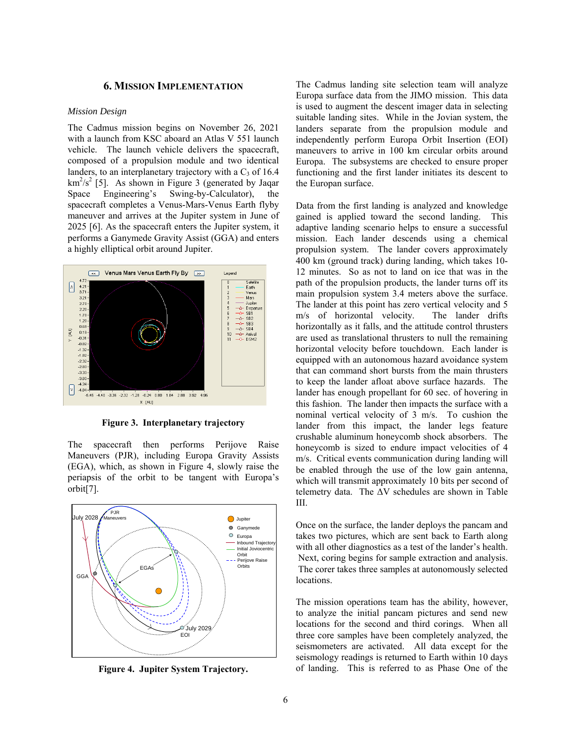# **6. MISSION IMPLEMENTATION**

#### <span id="page-5-0"></span>*Mission Design*

The Cadmus mission begins on November 26, 2021 with a launch from KSC aboard an Atlas V 551 launch vehicle. The launch vehicle delivers the spacecraft, composed of a propulsion module and two identical landers, to an interplanetary trajectory with a  $C_3$  of 16.4  $km^2/s^2$  [5]. As shown in Figure 3 (generated by Jaqar Space Engineering's Swing-by-Calculator), the spacecraft completes a Venus-Mars-Venus Earth flyby maneuver and arrives at the Jupiter system in June of 2025 [6]. As the spacecraft enters the Jupiter system, it performs a Ganymede Gravity Assist (GGA) and enters a highly elliptical orbit around Jupiter.



**Figure 3. Interplanetary trajectory** 

The spacecraft then performs Perijove Raise Maneuvers (PJR), including Europa Gravity Assists (EGA), which, as shown in Figure 4, slowly raise the periapsis of the orbit to be tangent with Europa's orbit[7].



**Figure 4. Jupiter System Trajectory.** 

The Cadmus landing site selection team will analyze Europa surface data from the JIMO mission. This data is used to augment the descent imager data in selecting suitable landing sites. While in the Jovian system, the landers separate from the propulsion module and independently perform Europa Orbit Insertion (EOI) maneuvers to arrive in 100 km circular orbits around Europa. The subsystems are checked to ensure proper functioning and the first lander initiates its descent to the Europan surface.

Data from the first landing is analyzed and knowledge gained is applied toward the second landing. This adaptive landing scenario helps to ensure a successful mission. Each lander descends using a chemical propulsion system. The lander covers approximately 400 km (ground track) during landing, which takes 10- 12 minutes. So as not to land on ice that was in the path of the propulsion products, the lander turns off its main propulsion system 3.4 meters above the surface. The lander at this point has zero vertical velocity and 5 m/s of horizontal velocity. The lander drifts horizontally as it falls, and the attitude control thrusters are used as translational thrusters to null the remaining horizontal velocity before touchdown. Each lander is equipped with an autonomous hazard avoidance system that can command short bursts from the main thrusters to keep the lander afloat above surface hazards. The lander has enough propellant for 60 sec. of hovering in this fashion. The lander then impacts the surface with a nominal vertical velocity of 3 m/s. To cushion the lander from this impact, the lander legs feature crushable aluminum honeycomb shock absorbers. The honeycomb is sized to endure impact velocities of 4 m/s. Critical events communication during landing will be enabled through the use of the low gain antenna, which will transmit approximately 10 bits per second of telemetry data. The ∆V schedules are shown in Table III.

Once on the surface, the lander deploys the pancam and takes two pictures, which are sent back to Earth along with all other diagnostics as a test of the lander's health. Next, coring begins for sample extraction and analysis. The corer takes three samples at autonomously selected locations.

The mission operations team has the ability, however, to analyze the initial pancam pictures and send new locations for the second and third corings. When all three core samples have been completely analyzed, the seismometers are activated. All data except for the seismology readings is returned to Earth within 10 days of landing. This is referred to as Phase One of the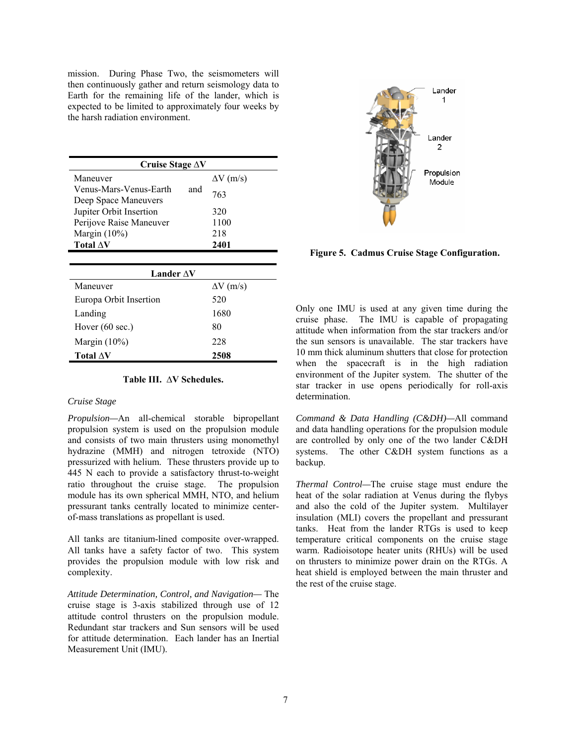mission. During Phase Two, the seismometers will then continuously gather and return seismology data to Earth for the remaining life of the lander, which is expected to be limited to approximately four weeks by the harsh radiation environment.

| Cruise Stage $\Delta V$ |     |                  |  |  |
|-------------------------|-----|------------------|--|--|
| Maneuver                |     | $\Delta V$ (m/s) |  |  |
| Venus-Mars-Venus-Earth  | and | 763              |  |  |
| Deep Space Maneuvers    |     |                  |  |  |
| Jupiter Orbit Insertion |     | 320              |  |  |
| Perijove Raise Maneuver |     | 1100             |  |  |
| Margin $(10\%)$         |     | 218              |  |  |
| <b>Total AV</b>         |     | 2401             |  |  |

| Lander $\Delta V$         |                  |  |  |  |
|---------------------------|------------------|--|--|--|
| Maneuver                  | $\Delta V$ (m/s) |  |  |  |
| Europa Orbit Insertion    | 520              |  |  |  |
| Landing                   | 1680             |  |  |  |
| Hover $(60 \text{ sec.})$ | 80               |  |  |  |
| Margin $(10\%)$           | 228              |  |  |  |
| <b>Total AV</b>           | 2508             |  |  |  |

#### **Table III. ∆V Schedules.**

#### *Cruise Stage*

*Propulsion—*An all-chemical storable bipropellant propulsion system is used on the propulsion module and consists of two main thrusters using monomethyl hydrazine (MMH) and nitrogen tetroxide (NTO) pressurized with helium. These thrusters provide up to 445 N each to provide a satisfactory thrust-to-weight ratio throughout the cruise stage. The propulsion module has its own spherical MMH, NTO, and helium pressurant tanks centrally located to minimize centerof-mass translations as propellant is used.

All tanks are titanium-lined composite over-wrapped. All tanks have a safety factor of two. This system provides the propulsion module with low risk and complexity.

*Attitude Determination, Control, and Navigation—* The cruise stage is 3-axis stabilized through use of 12 attitude control thrusters on the propulsion module. Redundant star trackers and Sun sensors will be used for attitude determination. Each lander has an Inertial Measurement Unit (IMU).



**Figure 5. Cadmus Cruise Stage Configuration.** 

Only one IMU is used at any given time during the cruise phase. The IMU is capable of propagating attitude when information from the star trackers and/or the sun sensors is unavailable. The star trackers have 10 mm thick aluminum shutters that close for protection when the spacecraft is in the high radiation environment of the Jupiter system. The shutter of the star tracker in use opens periodically for roll-axis determination.

*Command & Data Handling (C&DH)—*All command and data handling operations for the propulsion module are controlled by only one of the two lander C&DH systems. The other C&DH system functions as a backup.

*Thermal Control—*The cruise stage must endure the heat of the solar radiation at Venus during the flybys and also the cold of the Jupiter system. Multilayer insulation (MLI) covers the propellant and pressurant tanks. Heat from the lander RTGs is used to keep temperature critical components on the cruise stage warm. Radioisotope heater units (RHUs) will be used on thrusters to minimize power drain on the RTGs. A heat shield is employed between the main thruster and the rest of the cruise stage.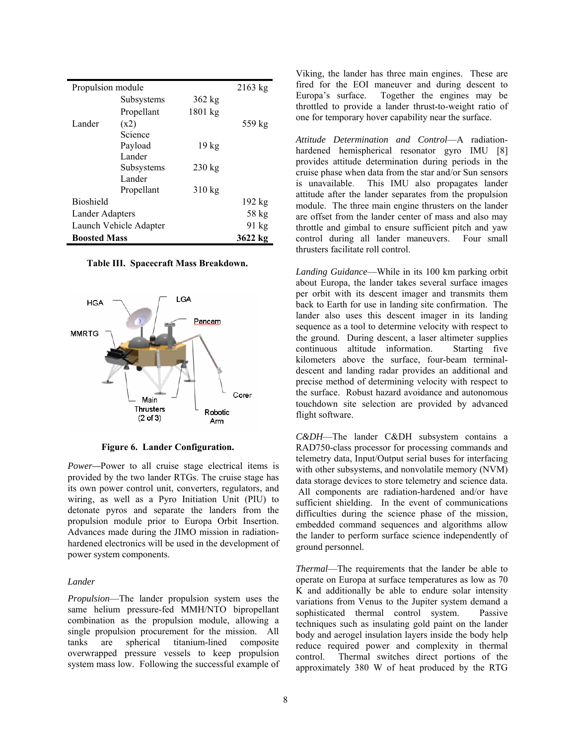| Propulsion module      | $2163$ kg  |                  |         |
|------------------------|------------|------------------|---------|
|                        | Subsystems | 362 kg           |         |
|                        | Propellant | $1801$ kg        |         |
| Lander                 | (x2)       |                  | 559 kg  |
|                        | Science    |                  |         |
|                        | Payload    | $19 \text{ kg}$  |         |
| Lander                 |            |                  |         |
| Subsystems             |            | $230 \text{ kg}$ |         |
| Lander                 |            |                  |         |
|                        | Propellant | $310 \text{ kg}$ |         |
| <b>Bioshield</b>       |            |                  | 192 kg  |
| <b>Lander Adapters</b> |            |                  | 58 kg   |
| Launch Vehicle Adapter |            |                  | 91 kg   |
| <b>Boosted Mass</b>    |            |                  | 3622 kg |

**Table III. Spacecraft Mass Breakdown.** 



**Figure 6. Lander Configuration.** 

*Power—*Power to all cruise stage electrical items is provided by the two lander RTGs. The cruise stage has its own power control unit, converters, regulators, and wiring, as well as a Pyro Initiation Unit (PIU) to detonate pyros and separate the landers from the propulsion module prior to Europa Orbit Insertion. Advances made during the JIMO mission in radiationhardened electronics will be used in the development of power system components.

#### *Lander*

*Propulsion*—The lander propulsion system uses the same helium pressure-fed MMH/NTO bipropellant combination as the propulsion module, allowing a single propulsion procurement for the mission. All tanks are spherical titanium-lined composite overwrapped pressure vessels to keep propulsion system mass low. Following the successful example of Viking, the lander has three main engines. These are fired for the EOI maneuver and during descent to Europa's surface. Together the engines may be throttled to provide a lander thrust-to-weight ratio of one for temporary hover capability near the surface.

*Attitude Determination and Control*—A radiationhardened hemispherical resonator gyro IMU [8] provides attitude determination during periods in the cruise phase when data from the star and/or Sun sensors is unavailable. This IMU also propagates lander attitude after the lander separates from the propulsion module. The three main engine thrusters on the lander are offset from the lander center of mass and also may throttle and gimbal to ensure sufficient pitch and yaw control during all lander maneuvers. Four small thrusters facilitate roll control.

*Landing Guidance*—While in its 100 km parking orbit about Europa, the lander takes several surface images per orbit with its descent imager and transmits them back to Earth for use in landing site confirmation. The lander also uses this descent imager in its landing sequence as a tool to determine velocity with respect to the ground. During descent, a laser altimeter supplies continuous altitude information. Starting five kilometers above the surface, four-beam terminaldescent and landing radar provides an additional and precise method of determining velocity with respect to the surface. Robust hazard avoidance and autonomous touchdown site selection are provided by advanced flight software.

*C&DH*—The lander C&DH subsystem contains a RAD750-class processor for processing commands and telemetry data, Input/Output serial buses for interfacing with other subsystems, and nonvolatile memory (NVM) data storage devices to store telemetry and science data. All components are radiation-hardened and/or have sufficient shielding. In the event of communications difficulties during the science phase of the mission, embedded command sequences and algorithms allow the lander to perform surface science independently of ground personnel.

*Thermal*—The requirements that the lander be able to operate on Europa at surface temperatures as low as 70 K and additionally be able to endure solar intensity variations from Venus to the Jupiter system demand a sophisticated thermal control system. Passive techniques such as insulating gold paint on the lander body and aerogel insulation layers inside the body help reduce required power and complexity in thermal control. Thermal switches direct portions of the approximately 380 W of heat produced by the RTG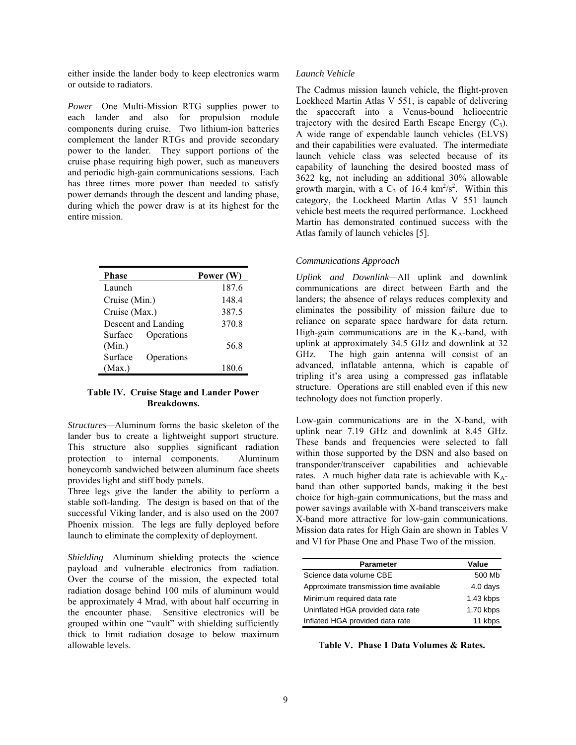either inside the lander body to keep electronics warm or outside to radiators.

*Power*—One Multi-Mission RTG supplies power to each lander and also for propulsion module components during cruise. Two lithium-ion batteries complement the lander RTGs and provide secondary power to the lander. They support portions of the cruise phase requiring high power, such as maneuvers and periodic high-gain communications sessions. Each has three times more power than needed to satisfy power demands through the descent and landing phase, during which the power draw is at its highest for the entire mission.

| <b>Phase</b>          | Power (W) |
|-----------------------|-----------|
| Launch                | 187.6     |
| Cruise (Min.)         | 148.4     |
| Cruise (Max.)         | 387.5     |
| Descent and Landing   | 370.8     |
| Operations<br>Surface |           |
| (Min.)                | 56.8      |
| Surface<br>Operations |           |
| (Max.)                | 180.6     |

## **Table IV. Cruise Stage and Lander Power Breakdowns.**

*Structures—*Aluminum forms the basic skeleton of the lander bus to create a lightweight support structure. This structure also supplies significant radiation protection to internal components. Aluminum honeycomb sandwiched between aluminum face sheets provides light and stiff body panels.

Three legs give the lander the ability to perform a stable soft-landing. The design is based on that of the successful Viking lander, and is also used on the 2007 Phoenix mission. The legs are fully deployed before launch to eliminate the complexity of deployment.

*Shielding*—Aluminum shielding protects the science payload and vulnerable electronics from radiation. Over the course of the mission, the expected total radiation dosage behind 100 mils of aluminum would be approximately 4 Mrad, with about half occurring in the encounter phase. Sensitive electronics will be grouped within one "vault" with shielding sufficiently thick to limit radiation dosage to below maximum allowable levels.

#### *Launch Vehicle*

The Cadmus mission launch vehicle, the flight-proven Lockheed Martin Atlas V 551, is capable of delivering the spacecraft into a Venus-bound heliocentric trajectory with the desired Earth Escape Energy  $(C_3)$ . A wide range of expendable launch vehicles (ELVS) and their capabilities were evaluated. The intermediate launch vehicle class was selected because of its capability of launching the desired boosted mass of 3622 kg, not including an additional 30% allowable growth margin, with a  $C_3$  of 16.4 km<sup>2</sup>/s<sup>2</sup>. Within this category, the Lockheed Martin Atlas V 551 launch vehicle best meets the required performance. Lockheed Martin has demonstrated continued success with the Atlas family of launch vehicles [5].

#### *Communications Approach*

*Uplink and Downlink—*All uplink and downlink communications are direct between Earth and the landers; the absence of relays reduces complexity and eliminates the possibility of mission failure due to reliance on separate space hardware for data return. High-gain communications are in the  $K_A$ -band, with uplink at approximately 34.5 GHz and downlink at 32 GHz. The high gain antenna will consist of an advanced, inflatable antenna, which is capable of tripling it's area using a compressed gas inflatable structure. Operations are still enabled even if this new technology does not function properly.

Low-gain communications are in the X-band, with uplink near 7.19 GHz and downlink at 8.45 GHz. These bands and frequencies were selected to fall within those supported by the DSN and also based on transponder/transceiver capabilities and achievable rates. A much higher data rate is achievable with  $K_A$ band than other supported bands, making it the best choice for high-gain communications, but the mass and power savings available with X-band transceivers make X-band more attractive for low-gain communications. Mission data rates for High Gain are shown in Tables V and VI for Phase One and Phase Two of the mission.

| <b>Parameter</b>                        | Value     |
|-----------------------------------------|-----------|
| Science data volume CBE                 | 500 Mb    |
| Approximate transmission time available | 4.0 days  |
| Minimum required data rate              | 1.43 kbps |
| Uninflated HGA provided data rate       | 1.70 kbps |
| Inflated HGA provided data rate         | 11 kbps   |

| Table V. Phase 1 Data Volumes & Rates. |
|----------------------------------------|
|----------------------------------------|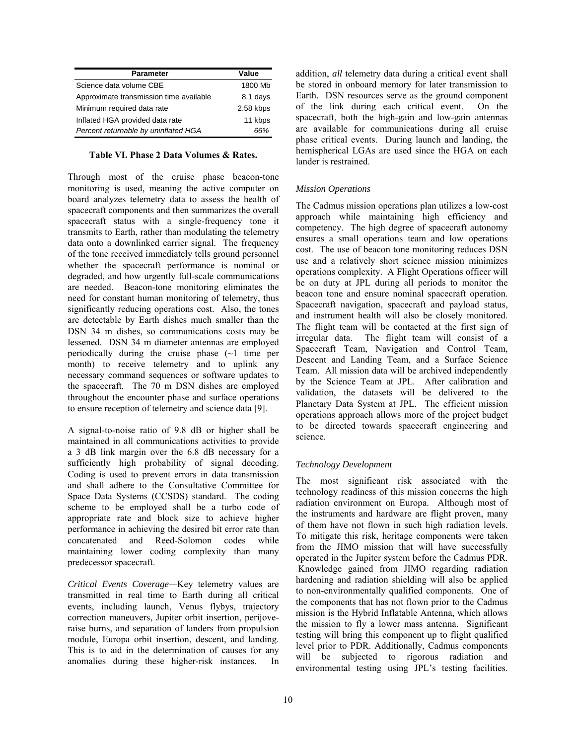| <b>Parameter</b>                        | Value     |
|-----------------------------------------|-----------|
| Science data volume CBE                 | 1800 Mb   |
| Approximate transmission time available | 8.1 days  |
| Minimum required data rate              | 2.58 kbps |
| Inflated HGA provided data rate         | 11 kbps   |
| Percent returnable by uninflated HGA    | ନେ%       |

#### **Table VI. Phase 2 Data Volumes & Rates.**

Through most of the cruise phase beacon-tone monitoring is used, meaning the active computer on board analyzes telemetry data to assess the health of spacecraft components and then summarizes the overall spacecraft status with a single-frequency tone it transmits to Earth, rather than modulating the telemetry data onto a downlinked carrier signal. The frequency of the tone received immediately tells ground personnel whether the spacecraft performance is nominal or degraded, and how urgently full-scale communications are needed. Beacon-tone monitoring eliminates the need for constant human monitoring of telemetry, thus significantly reducing operations cost. Also, the tones are detectable by Earth dishes much smaller than the DSN 34 m dishes, so communications costs may be lessened. DSN 34 m diameter antennas are employed periodically during the cruise phase  $(\sim 1)$  time per month) to receive telemetry and to uplink any necessary command sequences or software updates to the spacecraft. The 70 m DSN dishes are employed throughout the encounter phase and surface operations to ensure reception of telemetry and science data [9].

A signal-to-noise ratio of 9.8 dB or higher shall be maintained in all communications activities to provide a 3 dB link margin over the 6.8 dB necessary for a sufficiently high probability of signal decoding. Coding is used to prevent errors in data transmission and shall adhere to the Consultative Committee for Space Data Systems (CCSDS) standard. The coding scheme to be employed shall be a turbo code of appropriate rate and block size to achieve higher performance in achieving the desired bit error rate than concatenated and Reed-Solomon codes while maintaining lower coding complexity than many predecessor spacecraft.

*Critical Events Coverage—*Key telemetry values are transmitted in real time to Earth during all critical events, including launch, Venus flybys, trajectory correction maneuvers, Jupiter orbit insertion, perijoveraise burns, and separation of landers from propulsion module, Europa orbit insertion, descent, and landing. This is to aid in the determination of causes for any anomalies during these higher-risk instances. In

addition, *all* telemetry data during a critical event shall be stored in onboard memory for later transmission to Earth. DSN resources serve as the ground component of the link during each critical event. On the spacecraft, both the high-gain and low-gain antennas are available for communications during all cruise phase critical events. During launch and landing, the hemispherical LGAs are used since the HGA on each lander is restrained.

# *Mission Operations*

The Cadmus mission operations plan utilizes a low-cost approach while maintaining high efficiency and competency.The high degree of spacecraft autonomy ensures a small operations team and low operations cost. The use of beacon tone monitoring reduces DSN use and a relatively short science mission minimizes operations complexity. A Flight Operations officer will be on duty at JPL during all periods to monitor the beacon tone and ensure nominal spacecraft operation. Spacecraft navigation, spacecraft and payload status, and instrument health will also be closely monitored. The flight team will be contacted at the first sign of irregular data. The flight team will consist of a Spacecraft Team, Navigation and Control Team, Descent and Landing Team, and a Surface Science Team. All mission data will be archived independently by the Science Team at JPL. After calibration and validation, the datasets will be delivered to the Planetary Data System at JPL. The efficient mission operations approach allows more of the project budget to be directed towards spacecraft engineering and science.

# *Technology Development*

The most significant risk associated with the technology readiness of this mission concerns the high radiation environment on Europa. Although most of the instruments and hardware are flight proven, many of them have not flown in such high radiation levels. To mitigate this risk, heritage components were taken from the JIMO mission that will have successfully operated in the Jupiter system before the Cadmus PDR. Knowledge gained from JIMO regarding radiation hardening and radiation shielding will also be applied to non-environmentally qualified components. One of the components that has not flown prior to the Cadmus mission is the Hybrid Inflatable Antenna, which allows the mission to fly a lower mass antenna. Significant testing will bring this component up to flight qualified level prior to PDR. Additionally, Cadmus components will be subjected to rigorous radiation and environmental testing using JPL's testing facilities.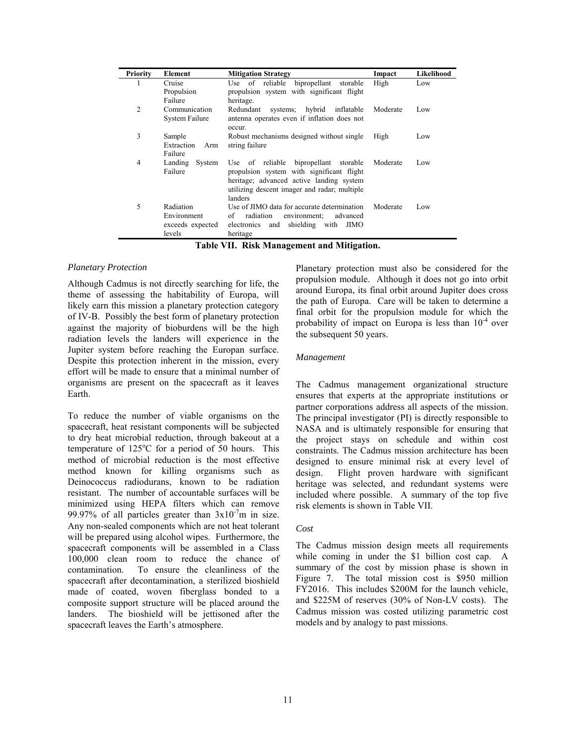| Priority       | Element           | <b>Mitigation Strategy</b>                            | Impact   | Likelihood |
|----------------|-------------------|-------------------------------------------------------|----------|------------|
|                | Cruise            | of reliable<br>bipropellant storable<br>Use           | High     | Low        |
|                | Propulsion        | propulsion system with significant flight             |          |            |
|                | Failure           | heritage.                                             |          |            |
| $\overline{2}$ | Communication     | Redundant<br>systems; hybrid<br>inflatable            | Moderate | Low        |
|                | System Failure    | antenna operates even if inflation does not<br>occur. |          |            |
| 3              | Sample            | Robust mechanisms designed without single             | High     | Low        |
|                | Extraction<br>Arm | string failure                                        |          |            |
|                | Failure           |                                                       |          |            |
| 4              | Landing<br>System | Use of reliable bipropellant storable                 | Moderate | Low        |
|                | Failure           | propulsion system with significant flight             |          |            |
|                |                   | heritage; advanced active landing system              |          |            |
|                |                   | utilizing descent imager and radar; multiple          |          |            |
|                |                   | landers                                               |          |            |
| 5              | Radiation         | Use of JIMO data for accurate determination           | Moderate | Low        |
|                | Environment       | radiation<br>environment;<br>advanced<br>оf           |          |            |
|                | exceeds expected  | shielding with<br><b>JIMO</b><br>electronics and      |          |            |
|                | levels            | heritage                                              |          |            |

**Table VII. Risk Management and Mitigation.**

#### *Planetary Protection*

Although Cadmus is not directly searching for life, the theme of assessing the habitability of Europa, will likely earn this mission a planetary protection category of IV-B. Possibly the best form of planetary protection against the majority of bioburdens will be the high radiation levels the landers will experience in the Jupiter system before reaching the Europan surface. Despite this protection inherent in the mission, every effort will be made to ensure that a minimal number of organisms are present on the spacecraft as it leaves Earth.

To reduce the number of viable organisms on the spacecraft, heat resistant components will be subjected to dry heat microbial reduction, through bakeout at a temperature of  $125^{\circ}$ C for a period of 50 hours. This method of microbial reduction is the most effective method known for killing organisms such as Deinococcus radiodurans, known to be radiation resistant. The number of accountable surfaces will be minimized using HEPA filters which can remove 99.97% of all particles greater than  $3x10^{-7}$ m in size. Any non-sealed components which are not heat tolerant will be prepared using alcohol wipes. Furthermore, the spacecraft components will be assembled in a Class 100,000 clean room to reduce the chance of contamination. To ensure the cleanliness of the spacecraft after decontamination, a sterilized bioshield made of coated, woven fiberglass bonded to a composite support structure will be placed around the landers. The bioshield will be jettisoned after the spacecraft leaves the Earth's atmosphere.

Planetary protection must also be considered for the propulsion module. Although it does not go into orbit around Europa, its final orbit around Jupiter does cross the path of Europa. Care will be taken to determine a final orbit for the propulsion module for which the probability of impact on Europa is less than  $10^{-4}$  over the subsequent 50 years.

#### *Management*

The Cadmus management organizational structure ensures that experts at the appropriate institutions or partner corporations address all aspects of the mission. The principal investigator (PI) is directly responsible to NASA and is ultimately responsible for ensuring that the project stays on schedule and within cost constraints. The Cadmus mission architecture has been designed to ensure minimal risk at every level of design. Flight proven hardware with significant heritage was selected, and redundant systems were included where possible. A summary of the top five risk elements is shown in Table VII.

## *Cost*

The Cadmus mission design meets all requirements while coming in under the \$1 billion cost cap.A summary of the cost by mission phase is shown in Figure 7. The total mission cost is \$950 million FY2016. This includes \$200M for the launch vehicle, and \$225M of reserves (30% of Non-LV costs). The Cadmus mission was costed utilizing parametric cost models and by analogy to past missions.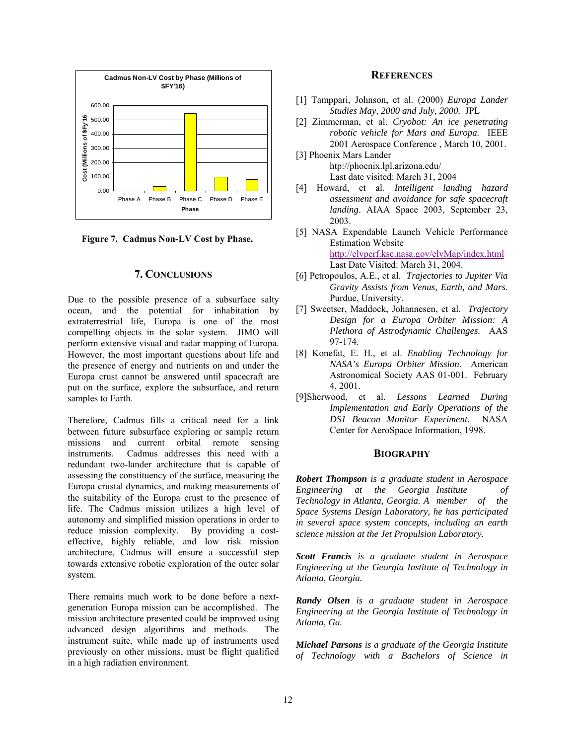<span id="page-11-0"></span>

**Figure 7. Cadmus Non-LV Cost by Phase.** 

# **7. CONCLUSIONS**

Due to the possible presence of a subsurface salty ocean, and the potential for inhabitation by extraterrestrial life, Europa is one of the most compelling objects in the solar system. JIMO will perform extensive visual and radar mapping of Europa. However, the most important questions about life and the presence of energy and nutrients on and under the Europa crust cannot be answered until spacecraft are put on the surface, explore the subsurface, and return samples to Earth.

Therefore, Cadmus fills a critical need for a link between future subsurface exploring or sample return missions and current orbital remote sensing instruments. Cadmus addresses this need with a redundant two-lander architecture that is capable of assessing the constituency of the surface, measuring the Europa crustal dynamics, and making measurements of the suitability of the Europa crust to the presence of life. The Cadmus mission utilizes a high level of autonomy and simplified mission operations in order to reduce mission complexity. By providing a costeffective, highly reliable, and low risk mission architecture, Cadmus will ensure a successful step towards extensive robotic exploration of the outer solar system.

There remains much work to be done before a nextgeneration Europa mission can be accomplished. The mission architecture presented could be improved using advanced design algorithms and methods. The instrument suite, while made up of instruments used previously on other missions, must be flight qualified in a high radiation environment.

# **REFERENCES**

- [1] Tamppari, Johnson, et al. (2000) *Europa Lander Studies May, 2000 and July, 2000.* JPL
- [2] Zimmerman, et al. *Cryobot: An ice penetrating robotic vehicle for Mars and Europa.* IEEE 2001 Aerospace Conference , March 10, 2001.
- [3] Phoenix Mars Lander htp://phoenix.lpl.arizona.edu/ Last date visited: March 31, 2004
- [4] Howard, et al. *Intelligent landing hazard assessment and avoidance for safe spacecraft landing*. AIAA Space 2003, September 23, 2003.
- [5] NASA Expendable Launch Vehicle Performance Estimation Website http://elvperf.ksc.nasa.gov/elvMap/index.htm[l](http://elvperf.ksc.nasa.gov/elvMap/index.html) [Last Date Visited: March 31, 2004.](http://elvperf.ksc.nasa.gov/elvMap/index.html)
- [6] Petropoulos, A.E., et al. *Trajectories to Jupiter Via Gravity Assists from Venus, Earth, and Mars*. Purdue, University.
- [7] Sweetser, Maddock, Johannesen, et al. *Trajectory Design for a Europa Orbiter Mission: A Plethora of Astrodynamic Challenges.* AAS 97-174.
- [8] Konefat, E. H., et al. *Enabling Technology for NASA's Europa Orbiter Mission*. American Astronomical Society AAS 01-001. February 4, 2001.
- [9]Sherwood, et al. *Lessons Learned During Implementation and Early Operations of the DS1 Beacon Monitor Experiment.* NASA Center for AeroSpace Information, 1998.

#### **BIOGRAPHY**

*Robert Thompson is a graduate student in Aerospace Engineering at the Georgia Institute* of *Technology in Atlanta, Georgia. A member of the Space Systems Design Laboratory, he has participated in several space system concepts, including an earth science mission at the Jet Propulsion Laboratory.* 

*Scott Francis is a graduate student in Aerospace Engineering at the Georgia Institute of Technology in Atlanta, Georgia.* 

*Randy Olsen is a graduate student in Aerospace Engineering at the Georgia Institute of Technology in Atlanta, Ga.* 

*Michael Parsons is a graduate of the Georgia Institute of Technology with a Bachelors of Science in*